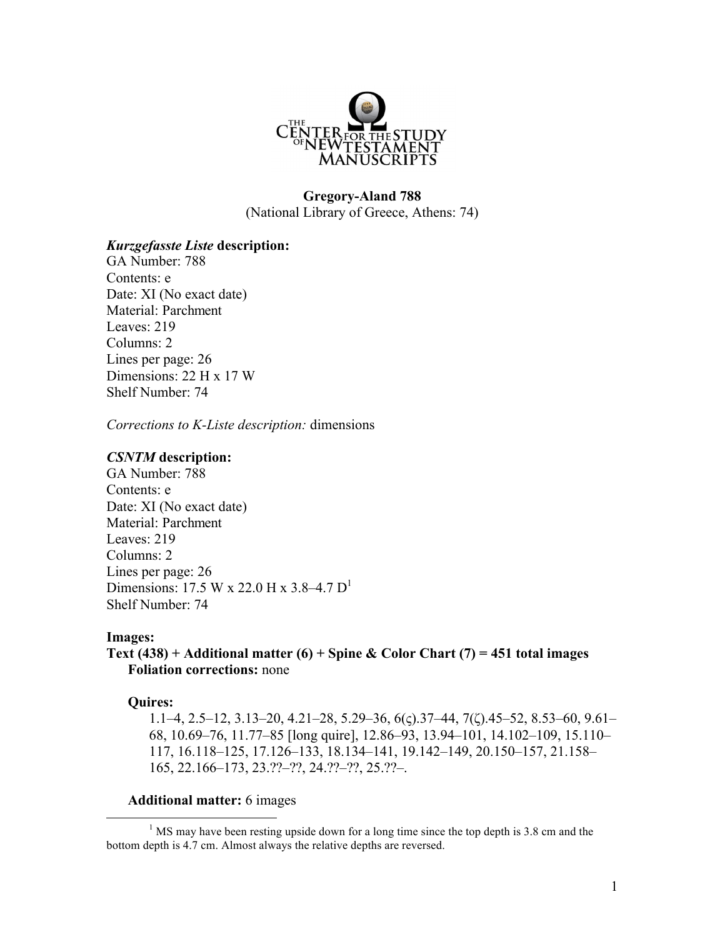

# **Gregory-Aland 788** (National Library of Greece, Athens: 74)

## *Kurzgefasste Liste* **description:**

GA Number: 788 Contents: e Date: XI (No exact date) Material: Parchment Leaves: 219 Columns: 2 Lines per page: 26 Dimensions: 22 H x 17 W Shelf Number: 74

*Corrections to K-Liste description:* dimensions

# *CSNTM* **description:**

GA Number: 788 Contents: e Date: ΧΙ (No exact date) Material: Parchment Leaves: 219 Columns: 2 Lines per page: 26 Dimensions: 17.5 W x 22.0 H x 3.8–4.7 D1 Shelf Number: 74

## **Images:**

# **Text (438) + Additional matter (6) + Spine & Color Chart (7) = 451 total images Foliation corrections:** none

#### **Quires:**

1.1–4, 2.5–12, 3.13–20, 4.21–28, 5.29–36, 6(ς).37–44, 7(ζ).45–52, 8.53–60, 9.61– 68, 10.69–76, 11.77–85 [long quire], 12.86–93, 13.94–101, 14.102–109, 15.110– 117, 16.118–125, 17.126–133, 18.134–141, 19.142–149, 20.150–157, 21.158– 165, 22.166–173, 23.??–??, 24.??–??, 25.??–.

## **Additional matter:** 6 images

<sup>1</sup> MS may have been resting upside down for a long time since the top depth is 3.8 cm and the bottom depth is 4.7 cm. Almost always the relative depths are reversed.